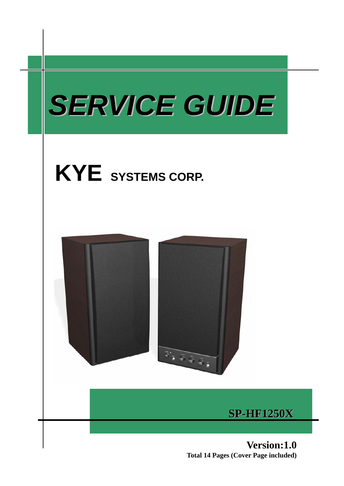





**SP-HF1250X**

**Version:1.0 Total 14 Pages (Cover Page included)**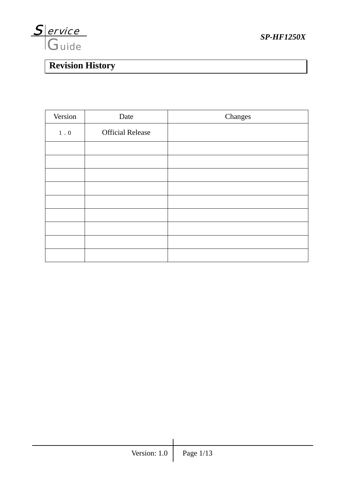

# **Revision History**

| Version       | Date                    | Changes |
|---------------|-------------------------|---------|
| $1\,$ . $0\,$ | <b>Official Release</b> |         |
|               |                         |         |
|               |                         |         |
|               |                         |         |
|               |                         |         |
|               |                         |         |
|               |                         |         |
|               |                         |         |
|               |                         |         |
|               |                         |         |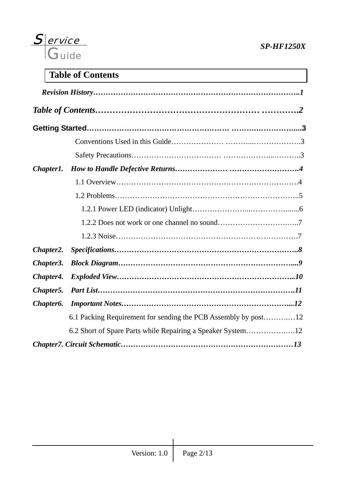

## **Table of Contents**

| Chapter1.              |                                                                |
|------------------------|----------------------------------------------------------------|
|                        |                                                                |
|                        |                                                                |
|                        |                                                                |
|                        |                                                                |
|                        |                                                                |
| Chapter2.              |                                                                |
| Chapter3.              |                                                                |
| Chapter4.              |                                                                |
| Chapter5.              |                                                                |
| Chapter <sub>6</sub> . |                                                                |
|                        | 6.1 Packing Requirement for sending the PCB Assembly by post12 |
|                        | 6.2 Short of Spare Parts while Repairing a Speaker System12    |
|                        |                                                                |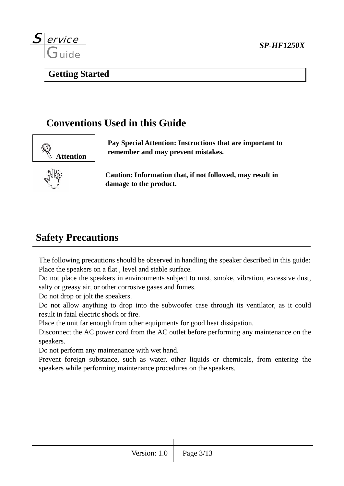

### **Getting Started**

## **Conventions Used in this Guide**



**Pay Special Attention: Instructions that are important to remember and may prevent mistakes.** 



**Caution: Information that, if not followed, may result in damage to the product.** 

## **Safety Precautions**

The following precautions should be observed in handling the speaker described in this guide: Place the speakers on a flat , level and stable surface.

Do not place the speakers in environments subject to mist, smoke, vibration, excessive dust, salty or greasy air, or other corrosive gases and fumes.

Do not drop or jolt the speakers.

Do not allow anything to drop into the subwoofer case through its ventilator, as it could result in fatal electric shock or fire.

Place the unit far enough from other equipments for good heat dissipation.

Disconnect the AC power cord from the AC outlet before performing any maintenance on the speakers.

Do not perform any maintenance with wet hand.

Prevent foreign substance, such as water, other liquids or chemicals, from entering the speakers while performing maintenance procedures on the speakers.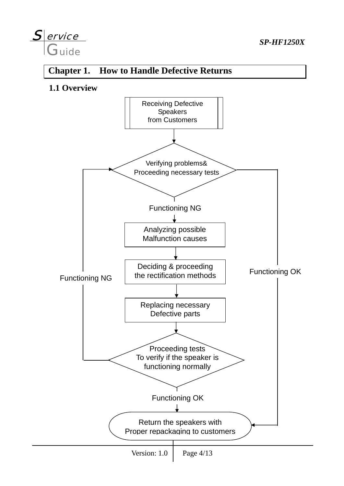### S ervice **Guide** ervice *SP-HF1250X*

## **Chapter 1. How to Handle Defective Returns**

**1.1 Overview**

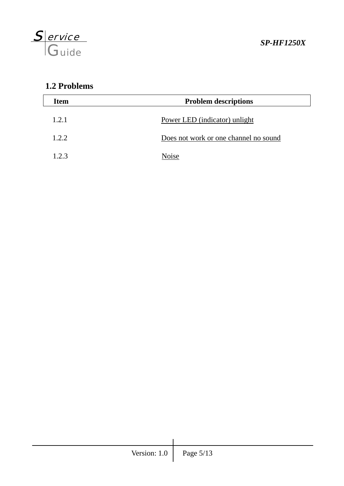

## **1.2 Problems**

| <b>Item</b> | <b>Problem descriptions</b>           |  |
|-------------|---------------------------------------|--|
| 1.2.1       | Power LED (indicator) unlight         |  |
| 1.2.2       | Does not work or one channel no sound |  |
| 123         | Noise                                 |  |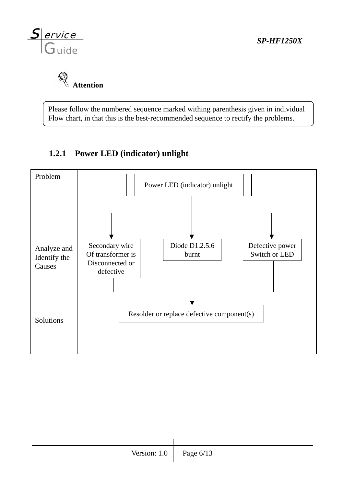



Please follow the numbered sequence marked withing parenthesis given in individual Flow chart, in that this is the best-recommended sequence to rectify the problems.

## **1.2.1 Power LED (indicator) unlight**

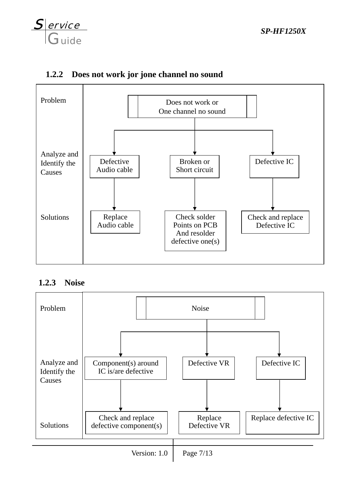



#### **1.2.2 Does not work jor jone channel no sound**

#### **1.2.3 Noise**



Version:  $1.0$  Page  $7/13$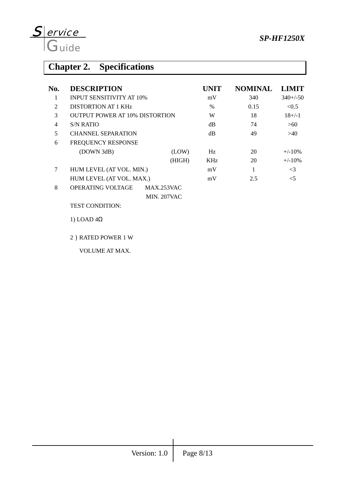

# **Chapter 2. Specifications**

| No.            | <b>DESCRIPTION</b>                    |                    | UNIT | <b>NOMINAL</b> | <b>LIMIT</b> |
|----------------|---------------------------------------|--------------------|------|----------------|--------------|
| 1              | <b>INPUT SENSITIVITY AT 10%</b>       |                    | mV   | 340            | $340+/-50$   |
| $\overline{2}$ | DISTORTION AT 1 KHz                   |                    | $\%$ | 0.15           | < 0.5        |
| 3              | <b>OUTPUT POWER AT 10% DISTORTION</b> |                    | W    | 18             | $18 + (-1)$  |
| $\overline{4}$ | <b>S/N RATIO</b>                      |                    | dB   | 74             | >60          |
| 5              | <b>CHANNEL SEPARATION</b>             |                    | dB   | 49             | >40          |
| 6              | FREQUENCY RESPONSE                    |                    |      |                |              |
|                | (DOWN 3dB)                            | (LOW)              | Hz   | 20             | $+/-10\%$    |
|                |                                       | (HIGH)             | KHz  | 20             | $+/-10%$     |
| 7              | HUM LEVEL (AT VOL. MIN.)              |                    | mV   | 1              | $\leq$ 3     |
|                | HUM LEVEL (AT VOL. MAX.)              |                    | mV   | 2.5            | $\leq$ 5     |
| 8              | <b>OPERATING VOLTAGE</b>              | MAX.253VAC         |      |                |              |
|                |                                       | <b>MIN. 207VAC</b> |      |                |              |
|                | <b>TEST CONDITION:</b>                |                    |      |                |              |
|                | 1) LOAD $4\Omega$                     |                    |      |                |              |
|                |                                       |                    |      |                |              |

2)RATED POWER 1 W

VOLUME AT MAX.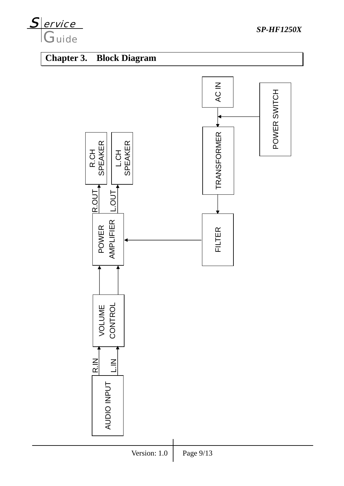

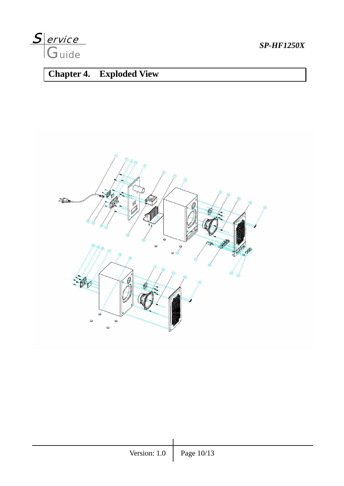

## **Chapter 4. Exploded View**

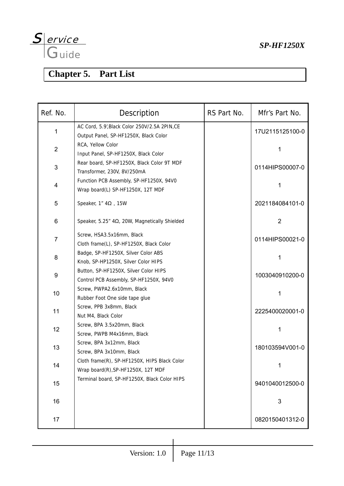

# **Chapter 5. Part List**

| Ref. No.       | Description                                                                            | RS Part No. | Mfr's Part No.  |
|----------------|----------------------------------------------------------------------------------------|-------------|-----------------|
| 1              | AC Cord, 5.9', Black Color 250V/2.5A 2PIN, CE<br>Output Panel, SP-HF1250X, Black Color |             | 17U2115125100-0 |
| $\overline{2}$ | RCA, Yellow Color<br>Input Panel, SP-HF1250X, Black Color                              |             |                 |
| 3              | Rear board, SP-HF1250X, Black Color 9T MDF<br>Transformer, 230V, 8V/250mA              |             | 0114HIPS00007-0 |
| 4              | Function PCB Assembly, SP-HF1250X, 94V0<br>Wrap board(L) SP-HF1250X, 12T MDF           |             | 1               |
| 5              | Speaker, $1''$ 4 $\Omega$ , 15W                                                        |             | 2021184084101-0 |
| 6              | Speaker, 5.25" 4Ω, 20W, Magnetically Shielded                                          |             | $\overline{2}$  |
| 7              | Screw, HSA3.5x16mm, Black<br>Cloth frame(L), SP-HF1250X, Black Color                   |             | 0114HIPS00021-0 |
| 8              | Badge, SP-HF1250X, Silver Color ABS<br>Knob, SP-HP1250X, Silver Color HIPS             |             | 1               |
| 9              | Button, SP-HF1250X, Silver Color HIPS<br>Control PCB Assembly, SP-HF1250X, 94V0        |             | 1003040910200-0 |
| 10             | Screw, PWPA2.6x10mm, Black<br>Rubber Foot One side tape glue                           |             | 1               |
| 11             | Screw, PPB 3x8mm, Black<br>Nut M4, Black Color                                         |             | 2225400020001-0 |
| 12             | Screw, BPA 3.5x20mm, Black<br>Screw, PWPB M4x16mm, Black                               |             | 1               |
| 13             | Screw, BPA 3x12mm, Black<br>Screw, BPA 3x10mm, Black                                   |             | 180103594V001-0 |
| 14             | Cloth frame(R), SP-HF1250X, HIPS Black Color<br>Wrap board(R), SP-HF1250X, 12T MDF     |             | 1               |
| 15             | Terminal board, SP-HF1250X, Black Color HIPS                                           |             | 9401040012500-0 |
| 16             |                                                                                        |             | 3               |
| 17             |                                                                                        |             | 0820150401312-0 |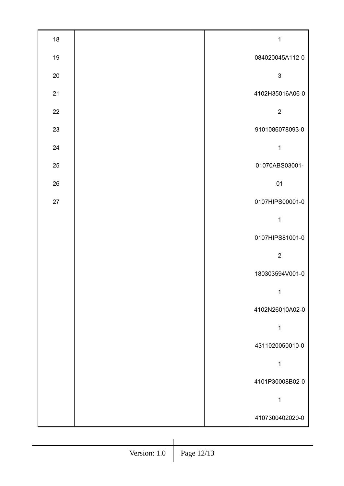| 18 |  | $\mathbf 1$     |
|----|--|-----------------|
| 19 |  | 084020045A112-0 |
| 20 |  | $\mathsf 3$     |
| 21 |  | 4102H35016A06-0 |
| 22 |  | $\overline{2}$  |
| 23 |  | 9101086078093-0 |
| 24 |  | $\mathbf 1$     |
| 25 |  | 01070ABS03001-  |
| 26 |  | 01              |
| 27 |  | 0107HIPS00001-0 |
|    |  | $\mathbf 1$     |
|    |  | 0107HIPS81001-0 |
|    |  | $\overline{2}$  |
|    |  | 180303594V001-0 |
|    |  | 1               |
|    |  | 4102N26010A02-0 |
|    |  | 1               |
|    |  | 4311020050010-0 |
|    |  | 1               |
|    |  | 4101P30008B02-0 |
|    |  | 1               |
|    |  | 4107300402020-0 |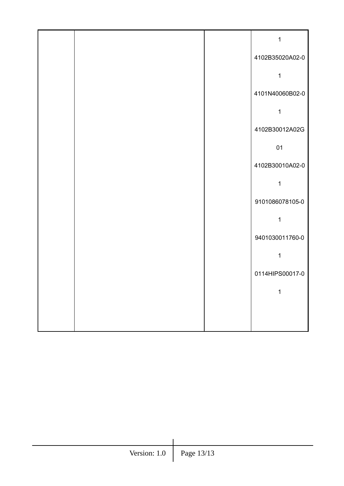|  | $\mathbf 1$     |
|--|-----------------|
|  | 4102B35020A02-0 |
|  | 1               |
|  | 4101N40060B02-0 |
|  | 1               |
|  | 4102B30012A02G  |
|  | 01              |
|  | 4102B30010A02-0 |
|  | $\mathbf 1$     |
|  | 9101086078105-0 |
|  | $\mathbf{1}$    |
|  | 9401030011760-0 |
|  | 1               |
|  | 0114HIPS00017-0 |
|  | 1               |
|  |                 |
|  |                 |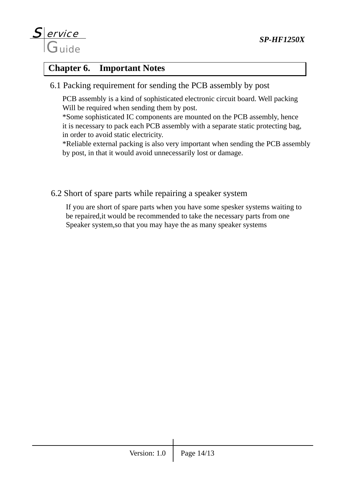

### **Chapter 6. Important Notes**

6.1 Packing requirement for sending the PCB assembly by post

 PCB assembly is a kind of sophisticated electronic circuit board. Well packing Will be required when sending them by post.

 \*Some sophisticated IC components are mounted on the PCB assembly, hence it is necessary to pack each PCB assembly with a separate static protecting bag, in order to avoid static electricity.

 \*Reliable external packing is also very important when sending the PCB assembly by post, in that it would avoid unnecessarily lost or damage.

6.2 Short of spare parts while repairing a speaker system

 If you are short of spare parts when you have some spesker systems waiting to be repaired,it would be recommended to take the necessary parts from one Speaker system,so that you may haye the as many speaker systems